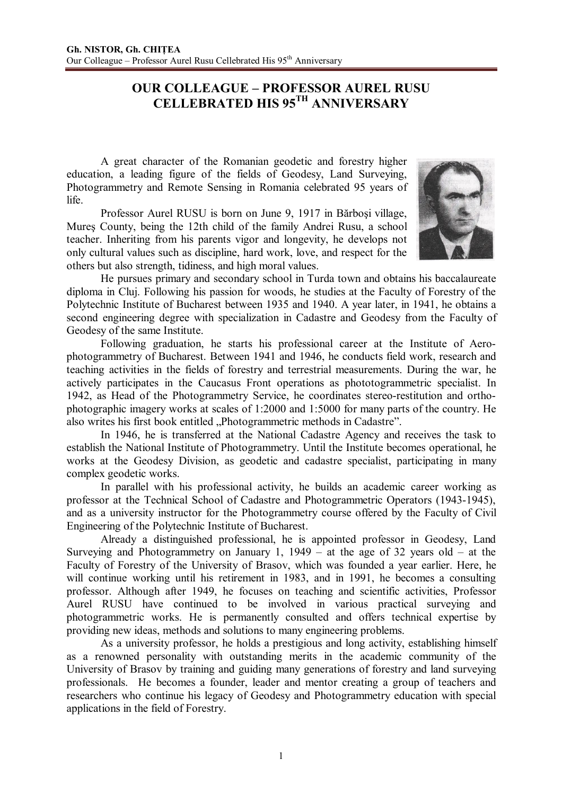## **OUR COLLEAGUE – PROFESSOR AUREL RUSU CELLEBRATED HIS 95TH ANNIVERSARY**

A great character of the Romanian geodetic and forestry higher education, a leading figure of the fields of Geodesy, Land Surveying, Photogrammetry and Remote Sensing in Romania celebrated 95 years of life.

Professor Aurel RUSU is born on June 9, 1917 in Bărboşi village, Mureş County, being the 12th child of the family Andrei Rusu, a school teacher. Inheriting from his parents vigor and longevity, he develops not only cultural values such as discipline, hard work, love, and respect for the others but also strength, tidiness, and high moral values.



He pursues primary and secondary school in Turda town and obtains his baccalaureate diploma in Cluj. Following his passion for woods, he studies at the Faculty of Forestry of the Polytechnic Institute of Bucharest between 1935 and 1940. A year later, in 1941, he obtains a second engineering degree with specialization in Cadastre and Geodesy from the Faculty of Geodesy of the same Institute.

Following graduation, he starts his professional career at the Institute of Aerophotogrammetry of Bucharest. Between 1941 and 1946, he conducts field work, research and teaching activities in the fields of forestry and terrestrial measurements. During the war, he actively participates in the Caucasus Front operations as phototogrammetric specialist. In 1942, as Head of the Photogrammetry Service, he coordinates stereo-restitution and orthophotographic imagery works at scales of 1:2000 and 1:5000 for many parts of the country. He also writes his first book entitled ..Photogrammetric methods in Cadastre".

In 1946, he is transferred at the National Cadastre Agency and receives the task to establish the National Institute of Photogrammetry. Until the Institute becomes operational, he works at the Geodesy Division, as geodetic and cadastre specialist, participating in many complex geodetic works.

In parallel with his professional activity, he builds an academic career working as professor at the Technical School of Cadastre and Photogrammetric Operators (1943-1945), and as a university instructor for the Photogrammetry course offered by the Faculty of Civil Engineering of the Polytechnic Institute of Bucharest.

Already a distinguished professional, he is appointed professor in Geodesy, Land Surveying and Photogrammetry on January 1,  $1949 - at$  the age of 32 years old – at the Faculty of Forestry of the University of Brasov, which was founded a year earlier. Here, he will continue working until his retirement in 1983, and in 1991, he becomes a consulting professor. Although after 1949, he focuses on teaching and scientific activities, Professor Aurel RUSU have continued to be involved in various practical surveying and photogrammetric works. He is permanently consulted and offers technical expertise by providing new ideas, methods and solutions to many engineering problems.

As a university professor, he holds a prestigious and long activity, establishing himself as a renowned personality with outstanding merits in the academic community of the University of Brasov by training and guiding many generations of forestry and land surveying professionals. He becomes a founder, leader and mentor creating a group of teachers and researchers who continue his legacy of Geodesy and Photogrammetry education with special applications in the field of Forestry.